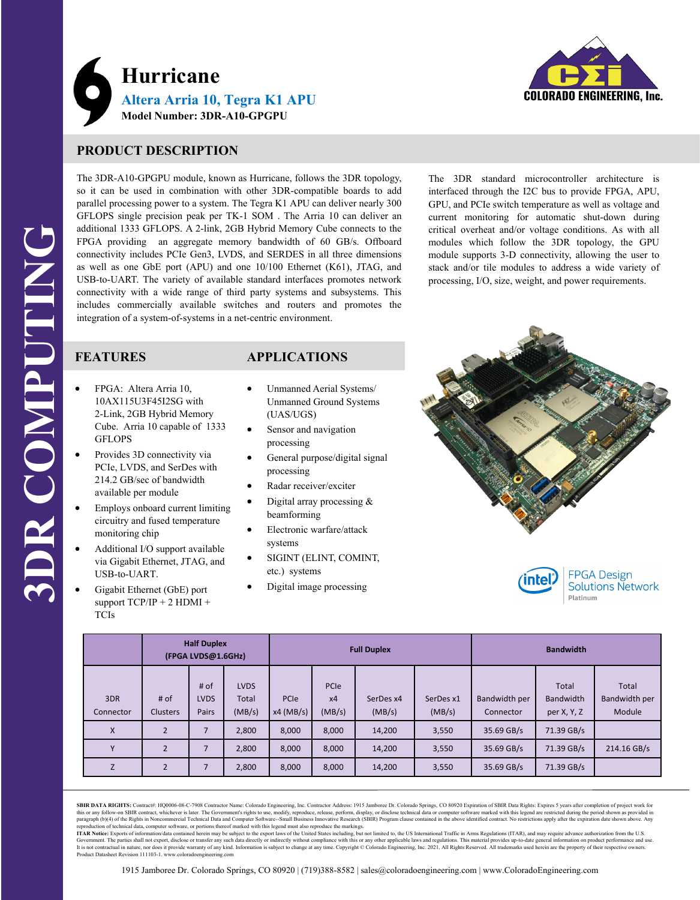

# **PRODUCT DESCRIPTION**

The 3DR-A10-GPGPU module, known as Hurricane, follows the 3DR topology, so it can be used in combination with other 3DR-compatible boards to add parallel processing power to a system. The Tegra K1 APU can deliver nearly 300 GFLOPS single precision peak per TK-1 SOM . The Arria 10 can deliver an additional 1333 GFLOPS. A 2-link, 2GB Hybrid Memory Cube connects to the FPGA providing an aggregate memory bandwidth of 60 GB/s. Offboard connectivity includes PCIe Gen3, LVDS, and SERDES in all three dimensions as well as one GbE port (APU) and one 10/100 Ethernet (K61), JTAG, and USB-to-UART. The variety of available standard interfaces promotes network connectivity with a wide range of third party systems and subsystems. This includes commercially available switches and routers and promotes the integration of a system-of-systems in a net-centric environment.

The 3DR standard microcontroller architecture is interfaced through the I2C bus to provide FPGA, APU, GPU, and PCIe switch temperature as well as voltage and current monitoring for automatic shut-down during critical overheat and/or voltage conditions. As with all modules which follow the 3DR topology, the GPU module supports 3-D connectivity, allowing the user to stack and/or tile modules to address a wide variety of processing, I/O, size, weight, and power requirements.

## **FEATURES**

- FPGA: Altera Arria 10, 10AX115U3F45I2SG with 2-Link, 2GB Hybrid Memory Cube. Arria 10 capable of 1333 **GFLOPS**
- Provides 3D connectivity via PCIe, LVDS, and SerDes with 214.2 GB/sec of bandwidth available per module
- Employs onboard current limiting circuitry and fused temperature monitoring chip
- Additional I/O support available via Gigabit Ethernet, JTAG, and USB-to-UART.
- Gigabit Ethernet (GbE) port support TCP/IP + 2 HDMI + TCIs

## **APPLICATIONS**

- Unmanned Aerial Systems/ Unmanned Ground Systems (UAS/UGS)
- Sensor and navigation processing
- General purpose/digital signal processing
- Radar receiver/exciter
- Digital array processing & beamforming
- Electronic warfare/attack systems
- SIGINT (ELINT, COMINT, etc.) systems
- Digital image processing





#### **FPGA Design Solutions Network** Platinum

|                  | <b>Half Duplex</b><br>(FPGA LVDS@1.6GHz) |                              |                                | <b>Full Duplex</b>  |                      |                     |                     | <b>Bandwidth</b>           |                                          |                                  |
|------------------|------------------------------------------|------------------------------|--------------------------------|---------------------|----------------------|---------------------|---------------------|----------------------------|------------------------------------------|----------------------------------|
| 3DR<br>Connector | # of<br><b>Clusters</b>                  | # of<br><b>LVDS</b><br>Pairs | <b>LVDS</b><br>Total<br>(MB/s) | PCIe<br>$x4$ (MB/s) | PCIe<br>x4<br>(MB/s) | SerDes x4<br>(MB/s) | SerDes x1<br>(MB/s) | Bandwidth per<br>Connector | Total<br><b>Bandwidth</b><br>per X, Y, Z | Total<br>Bandwidth per<br>Module |
| $\mathsf{x}$     | $\overline{2}$                           |                              | 2,800                          | 8,000               | 8,000                | 14,200              | 3,550               | 35.69 GB/s                 | 71.39 GB/s                               |                                  |
| $\mathbf v$      | $\overline{2}$                           | $\overline{7}$               | 2,800                          | 8,000               | 8,000                | 14,200              | 3,550               | 35.69 GB/s                 | 71.39 GB/s                               | 214.16 GB/s                      |
| Z                | $\overline{2}$                           |                              | 2,800                          | 8,000               | 8,000                | 14,200              | 3,550               | 35.69 GB/s                 | 71.39 GB/s                               |                                  |

SBIR DATA RIGHTS: Contract#: HQ0006-08-C-7908 Contractor Name: Colorado Engineering, Inc. Contractor Address: 1915 Jamboree Dr. Colorado Springs, CO 80920 Expiration of SBIR Data Rights: Expires 5 years after completion of reproduction of technical data, computer software, or portions thereof marked with this legend must also reproduce the markings.<br>ITAR Notice: Exports of information/data contained herein may be subject to the export laws o

Government. The parties shall not export, disclose or transfer any such data directly or indirectly without compliance with this or any other applicable laws and regulations. This material provides up-to-date general infor Product Datasheet Revision 111103-1. www.coloradoengineeri